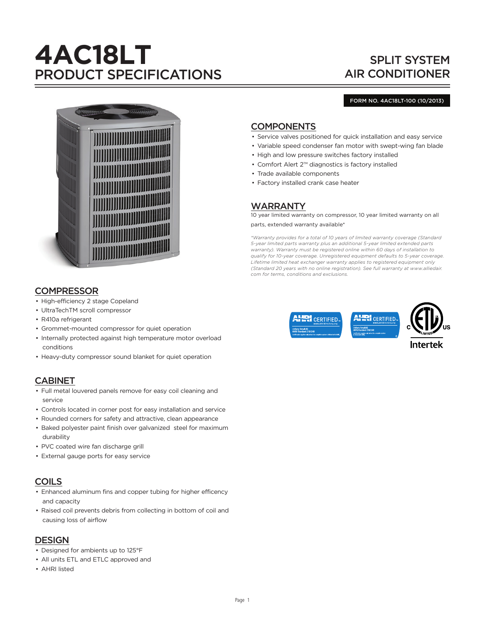# **4AC18LT** PRODUCT SPECIFICATIONS

# SPLIT SYSTEM AIR CONDITIONER

#### FORM NO. 4AC18LT-100 (10/2013)



# **COMPRESSOR**

- High-efficiency 2 stage Copeland
- UltraTechTM scroll compressor
- R410a refrigerant
- Grommet-mounted compressor for quiet operation
- Internally protected against high temperature motor overload conditions
- Heavy-duty compressor sound blanket for quiet operation

# CABINET

- Full metal louvered panels remove for easy coil cleaning and service
- Controls located in corner post for easy installation and service
- Rounded corners for safety and attractive, clean appearance
- Baked polyester paint finish over galvanized steel for maximum durability
- PVC coated wire fan discharge grill
- External gauge ports for easy service

# COILS

- Enhanced aluminum fins and copper tubing for higher efficency and capacity
- Raised coil prevents debris from collecting in bottom of coil and causing loss of airflow

# DESIGN

- Designed for ambients up to 125°F
- All units ETL and ETLC approved and
- AHRI listed

# **COMPONENTS**

- Service valves positioned for quick installation and easy service
- Variable speed condenser fan motor with swept-wing fan blade
- High and low pressure switches factory installed
- Comfort Alert 2™ diagnostics is factory installed
- Trade available components
- Factory installed crank case heater

# WARRANTY

10 year limited warranty on compressor, 10 year limited warranty on all parts, extended warranty available\*

*\*Warranty provides for a total of 10 years of limited warranty coverage (Standard 5-year limited parts warranty plus an additional 5-year limited extended parts warranty). Warranty must be registered online within 60 days of installation to qualify for 10-year coverage. Unregistered equipment defaults to 5-year coverage. Lifetime limited heat exchanger warranty applies to registered equipment only (Standard 20 years with no online registration). See full warranty at www.alliedair. com for terms, conditions and exclusions.*

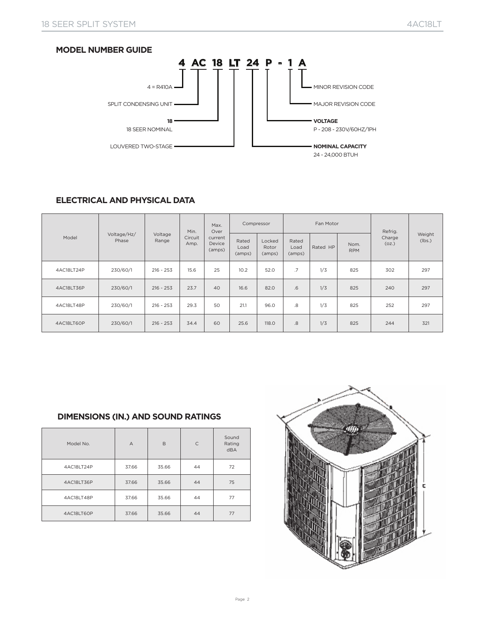

# **ELECTRICAL AND PHYSICAL DATA**

|            |                      |                  | Min.            | Max.<br>Over                | Compressor              |                           |                         | Fan Motor |                    | Refrig.         |                  |
|------------|----------------------|------------------|-----------------|-----------------------------|-------------------------|---------------------------|-------------------------|-----------|--------------------|-----------------|------------------|
| Model      | Voltage/Hz/<br>Phase | Voltage<br>Range | Circuit<br>Amp. | current<br>Device<br>(amps) | Rated<br>Load<br>(amps) | Locked<br>Rotor<br>(amps) | Rated<br>Load<br>(amps) | Rated HP  | Nom.<br><b>RPM</b> | Charge<br>(oz.) | Weight<br>(lbs.) |
| 4AC18LT24P | 230/60/1             | $216 - 253$      | 15.6            | 25                          | 10.2                    | 52.0                      | .7                      | 1/3       | 825                | 302             | 297              |
| 4AC18LT36P | 230/60/1             | $216 - 253$      | 23.7            | 40                          | 16.6                    | 82.0                      | .6                      | 1/3       | 825                | 240             | 297              |
| 4AC18LT48P | 230/60/1             | $216 - 253$      | 29.3            | 50                          | 21.1                    | 96.0                      | 8.                      | 1/3       | 825                | 252             | 297              |
| 4AC18LT60P | 230/60/1             | $216 - 253$      | 34.4            | 60                          | 25.6                    | 118.0                     | .8                      | 1/3       | 825                | 244             | 321              |

## **DIMENSIONS (IN.) AND SOUND RATINGS**

| Model No.  | $\overline{A}$ | B     | $\mathsf{C}$ | Sound<br>Rating<br><b>dBA</b> |
|------------|----------------|-------|--------------|-------------------------------|
| 4AC18LT24P | 37.66          | 35.66 | 44           | 72                            |
| 4AC18LT36P | 37.66          | 35.66 | 44           | 75                            |
| 4AC18LT48P | 37.66          | 35.66 | 44           | 77                            |
| 4AC18LT60P | 37.66          | 35.66 | 44           | 77                            |

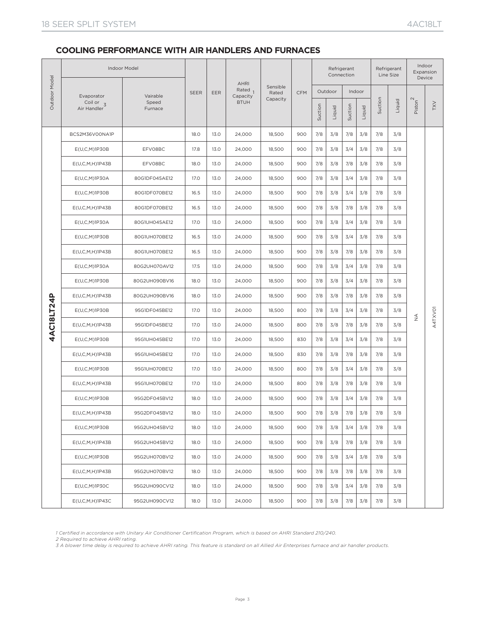|               |                                       | <b>Indoor Model</b> |             |      |                                               |                   |            |         | Connection | Refrigerant |        |         | Refrigerant<br>Line Size |                     | Indoor<br>Expansion<br>Device |
|---------------|---------------------------------------|---------------------|-------------|------|-----------------------------------------------|-------------------|------------|---------|------------|-------------|--------|---------|--------------------------|---------------------|-------------------------------|
| Outdoor Model | Evaporator                            | Vairable            | <b>SEER</b> | EER  | <b>AHRI</b><br>Rated <sub>1</sub><br>Capacity | Sensible<br>Rated | <b>CFM</b> |         | Outdoor    |             | Indoor |         |                          |                     |                               |
|               | Coil or $\overline{3}$<br>Air Handler | Speed<br>Furnace    |             |      | <b>BTUH</b>                                   | Capacity          |            | Suction | Liquid     | Suction     | Liquid | Suction | Liquid                   | Piston <sup>2</sup> | TXV                           |
|               | BCS2M36V00NA1P                        |                     | 18.0        | 13.0 | 24,000                                        | 18,500            | 900        | 7/8     | 3/8        | 7/8         | 3/8    | 7/8     | 3/8                      |                     |                               |
|               | E(U,C,M)1P30B                         | EFV08BC             | 17.8        | 13.0 | 24,000                                        | 18,500            | 900        | 7/8     | 3/8        | 3/4         | 3/8    | 7/8     | 3/8                      |                     |                               |
|               | E(U,C,M,H)1P43B                       | EFV08BC             | 18.0        | 13.0 | 24,000                                        | 18,500            | 900        | 7/8     | 3/8        | 7/8         | 3/8    | 7/8     | 3/8                      |                     |                               |
|               | $E(U,C,M)$ 1P30A                      | 80G1DF045AE12       | 17.0        | 13.0 | 24,000                                        | 18,500            | 900        | 7/8     | 3/8        | 3/4         | 3/8    | 7/8     | 3/8                      |                     |                               |
|               | $E(U, C, M)$ 1P30B                    | 80G1DF070BE12       | 16.5        | 13.0 | 24,000                                        | 18,500            | 900        | 7/8     | 3/8        | 3/4         | 3/8    | 7/8     | 3/8                      |                     |                               |
|               | E(U,C,M,H)1P43B                       | 80G1DF070BE12       | 16.5        | 13.0 | 24,000                                        | 18,500            | 900        | 7/8     | 3/8        | 7/8         | 3/8    | 7/8     | 3/8                      |                     |                               |
|               | $E(U,C,M)$ 1P30A                      | 80G1UH045AE12       | 17.0        | 13.0 | 24,000                                        | 18,500            | 900        | 7/8     | 3/8        | 3/4         | 3/8    | 7/8     | 3/8                      |                     |                               |
|               | $E(U, C, M)$ 1P30B                    | 80G1UH070BE12       | 16.5        | 13.0 | 24,000                                        | 18,500            | 900        | 7/8     | 3/8        | 3/4         | 3/8    | 7/8     | 3/8                      |                     |                               |
|               | E(U,C,M,H)1P43B                       | 80G1UH070BE12       | 16.5        | 13.0 | 24,000                                        | 18,500            | 900        | 7/8     | 3/8        | 7/8         | 3/8    | 7/8     | 3/8                      |                     |                               |
|               | E(U,C,M)1P30A                         | 80G2UH070AV12       | 17.5        | 13.0 | 24,000                                        | 18,500            | 900        | 7/8     | 3/8        | 3/4         | 3/8    | 7/8     | 3/8                      |                     |                               |
|               | $E(U, C, M)$ 1P30B                    | 80G2UH090BV16       | 18.0        | 13.0 | 24,000                                        | 18,500            | 900        | 7/8     | 3/8        | 3/4         | 3/8    | 7/8     | 3/8                      |                     |                               |
|               | E(U,C,M,H)1P43B                       | 80G2UH090BV16       | 18.0        | 13.0 | 24,000                                        | 18,500            | 900        | 7/8     | 3/8        | 7/8         | 3/8    | 7/8     | 3/8                      |                     |                               |
| 4AC18LT24P    | E(U,C,M)1P30B                         | 95G1DF045BE12       | 17.0        | 13.0 | 24,000                                        | 18,500            | 800        | 7/8     | 3/8        | 3/4         | 3/8    | 7/8     | 3/8                      |                     |                               |
|               | $E(U, C, M, H)$ 1P43B                 | 95G1DF045BE12       | 17.0        | 13.0 | 24,000                                        | 18,500            | 800        | 7/8     | 3/8        | 7/8         | 3/8    | 7/8     | 3/8                      | $\frac{4}{2}$       | A4TXVO1                       |
|               | $E(U, C, M)$ 1P30B                    | 95G1UH045BE12       | 17.0        | 13.0 | 24,000                                        | 18,500            | 830        | 7/8     | 3/8        | 3/4         | 3/8    | 7/8     | 3/8                      |                     |                               |
|               | E(U,C,M,H)1P43B                       | 95G1UH045BE12       | 17.0        | 13.0 | 24,000                                        | 18,500            | 830        | 7/8     | 3/8        | 7/8         | 3/8    | 7/8     | 3/8                      |                     |                               |
|               | $E(U, C, M)$ 1P30B                    | 95G1UH070BE12       | 17.0        | 13.0 | 24,000                                        | 18,500            | 800        | 7/8     | 3/8        | 3/4         | 3/8    | 7/8     | 3/8                      |                     |                               |
|               | $E(U,C,M,H)$ 1P43B                    | 95G1UH070BE12       | 17.0        | 13.0 | 24,000                                        | 18,500            | 800        | 7/8     | 3/8        | 7/8         | 3/8    | 7/8     | 3/8                      |                     |                               |
|               | $E(U, C, M)$ 1P30B                    | 95G2DF045BV12       | 18.0        | 13.0 | 24,000                                        | 18,500            | 900        | 7/8     | 3/8        | 3/4         | 3/8    | 7/8     | 3/8                      |                     |                               |
|               | $E(U, C, M, H)$ 1P43B                 | 95G2DF045BV12       | 18.0        | 13.0 | 24,000                                        | 18.500            | 900        | 7/8     | 3/8        | 7/8         | 3/8    | 7/8     | 3/8                      |                     |                               |
|               | E(U,C,M)1P30B                         | 95G2UH045BV12       | 18.0        | 13.0 | 24,000                                        | 18,500            | 900        | 7/8     | 3/8        | 3/4         | 3/8    | 7/8     | 3/8                      |                     |                               |
|               | $E(U, C, M, H)$ 1P43B                 | 95G2UH045BV12       | 18.0        | 13.0 | 24,000                                        | 18,500            | 900        | 7/8     | 3/8        | 7/8         | 3/8    | 7/8     | 3/8                      |                     |                               |
|               | E(U,C,M)1P30B                         | 95G2UH070BV12       | 18.0        | 13.0 | 24,000                                        | 18,500            | 900        | 7/8     | 3/8        | 3/4         | 3/8    | 7/8     | 3/8                      |                     |                               |
|               | $E(U, C, M, H)$ 1P43B                 | 95G2UH070BV12       | 18.0        | 13.0 | 24,000                                        | 18,500            | 900        | 7/8     | 3/8        | 7/8         | 3/8    | 7/8     | 3/8                      |                     |                               |
|               | $E(U, C, M)$ 1P30C                    | 95G2UH090CV12       | 18.0        | 13.0 | 24,000                                        | 18,500            | 900        | 7/8     | 3/8        | 3/4         | 3/8    | 7/8     | 3/8                      |                     |                               |
|               | E(U,C,M,H)1P43C                       | 95G2UH090CV12       | 18.0        | 13.0 | 24,000                                        | 18,500            | 900        | 7/8     | 3/8        | 7/8         | 3/8    | 7/8     | 3/8                      |                     |                               |

*1 Certified in accordance with Unitary Air Conditioner Certification Program, which is based on AHRI Standard 210/240.*

*2 Required to achieve AHRI rating.*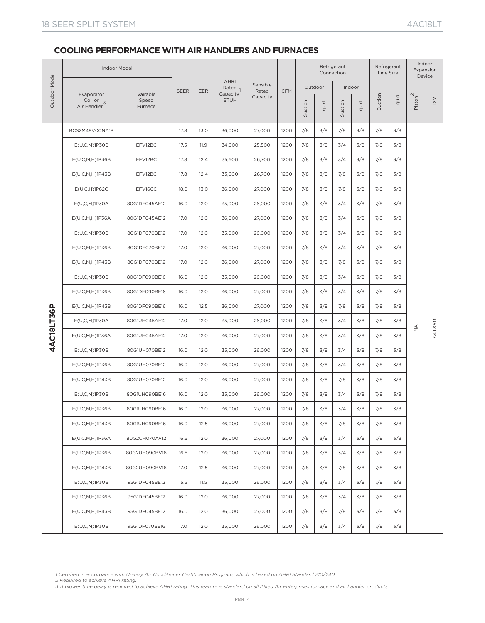|               | <b>Indoor Model</b>                  |                   |             |            |                                                              |                               |            |         |         | Refrigerant<br>Connection |        |         | Refrigerant<br>Line Size |                              | Indoor<br>Expansion<br>Device |
|---------------|--------------------------------------|-------------------|-------------|------------|--------------------------------------------------------------|-------------------------------|------------|---------|---------|---------------------------|--------|---------|--------------------------|------------------------------|-------------------------------|
| Outdoor Model | Evaporator<br>Coil or $\overline{3}$ | Vairable<br>Speed | <b>SEER</b> | <b>EER</b> | <b>AHRI</b><br>Rated <sub>1</sub><br>Capacity<br><b>BTUH</b> | Sensible<br>Rated<br>Capacity | <b>CFM</b> |         | Outdoor |                           | Indoor | Suction | Liquid                   | Piston <sup>2</sup>          | TXV                           |
|               | Air Handler                          | Furnace           |             |            |                                                              |                               |            | Suction | Liquid  | Suction                   | Liquid |         |                          |                              |                               |
|               | BCS2M48V00NA1P                       |                   | 17.8        | 13.0       | 36,000                                                       | 27,000                        | 1200       | 7/8     | 3/8     | 7/8                       | 3/8    | 7/8     | 3/8                      |                              |                               |
|               | $E(U, C, M)$ 1P30B                   | EFV12BC           | 17.5        | 11.9       | 34,000                                                       | 25,500                        | 1200       | 7/8     | 3/8     | 3/4                       | 3/8    | 7/8     | 3/8                      |                              |                               |
|               | $E(U, C, M, H)$ 1P36B                | EFV12BC           | 17.8        | 12.4       | 35,600                                                       | 26,700                        | 1200       | 7/8     | 3/8     | 3/4                       | 3/8    | 7/8     | 3/8                      |                              |                               |
|               | $E(U,C,M,H)$ 1P43B                   | EFV12BC           | 17.8        | 12.4       | 35,600                                                       | 26,700                        | 1200       | 7/8     | 3/8     | 7/8                       | 3/8    | 7/8     | 3/8                      |                              |                               |
|               | $E(U,C,H)$ 1P62C                     | EFV16CC           | 18.0        | 13.0       | 36,000                                                       | 27,000                        | 1200       | 7/8     | 3/8     | 7/8                       | 3/8    | 7/8     | 3/8                      |                              |                               |
|               | $E(U,C,M)$ 1P30A                     | 80G1DF045AE12     | 16.0        | 12.0       | 35,000                                                       | 26,000                        | 1200       | 7/8     | 3/8     | 3/4                       | 3/8    | 7/8     | 3/8                      |                              |                               |
|               | E(U,C,M,H)1P36A                      | 80G1DF045AE12     | 17.0        | 12.0       | 36,000                                                       | 27,000                        | 1200       | 7/8     | 3/8     | 3/4                       | 3/8    | 7/8     | 3/8                      |                              |                               |
|               | E(U,C,M)1P30B                        | 80G1DF070BE12     | 17.0        | 12.0       | 35,000                                                       | 26,000                        | 1200       | 7/8     | 3/8     | 3/4                       | 3/8    | 7/8     | 3/8                      |                              |                               |
|               | $E(U, C, M, H)$ 1P36B                | 80G1DF070BE12     | 17.0        | 12.0       | 36,000                                                       | 27,000                        | 1200       | 7/8     | 3/8     | 3/4                       | 3/8    | 7/8     | 3/8                      |                              |                               |
|               | $E(U,C,M,H)$ 1P43B                   | 80G1DF070BE12     | 17.0        | 12.0       | 36,000                                                       | 27,000                        | 1200       | 7/8     | 3/8     | 7/8                       | 3/8    | 7/8     | 3/8                      |                              |                               |
|               | $E(U, C, M)$ 1P30B                   | 80G1DF090BE16     | 16.0        | 12.0       | 35,000                                                       | 26,000                        | 1200       | 7/8     | 3/8     | 3/4                       | 3/8    | 7/8     | 3/8                      |                              |                               |
|               | E(U,C,M,H)1P36B                      | 80G1DF090BE16     | 16.0        | 12.0       | 36,000                                                       | 27,000                        | 1200       | 7/8     | 3/8     | 3/4                       | 3/8    | 7/8     | 3/8                      |                              |                               |
|               | $E(U,C,M,H)$ 1P43B                   | 80G1DF090BE16     | 16.0        | 12.5       | 36,000                                                       | 27,000                        | 1200       | 7/8     | 3/8     | 7/8                       | 3/8    | 7/8     | 3/8                      |                              |                               |
| 4AC18LT36P    | $E(U,C,M)$ 1P30A                     | 80G1UH045AE12     | 17.0        | 12.0       | 35,000                                                       | 26,000                        | 1200       | 7/8     | 3/8     | 3/4                       | 3/8    | 7/8     | 3/8                      | $\stackrel{\triangle}{\geq}$ | A4TXVO1                       |
|               | E(U,C,M,H)1P36A                      | 80G1UH045AE12     | 17.0        | 12.0       | 36,000                                                       | 27,000                        | 1200       | 7/8     | 3/8     | 3/4                       | 3/8    | 7/8     | 3/8                      |                              |                               |
|               | $E(U, C, M)$ 1P30B                   | 80G1UH070BE12     | 16.0        | 12.0       | 35,000                                                       | 26,000                        | 1200       | 7/8     | 3/8     | 3/4                       | 3/8    | 7/8     | 3/8                      |                              |                               |
|               | E(U,C,M,H)1P36B                      | 80G1UH070BE12     | 16.0        | 12.0       | 36,000                                                       | 27,000                        | 1200       | 7/8     | 3/8     | 3/4                       | 3/8    | 7/8     | 3/8                      |                              |                               |
|               | E(U,C,M,H)1P43B                      | 80G1UH070BE12     | 16.0        | 12.0       | 36,000                                                       | 27,000                        | 1200       | 7/8     | 3/8     | 7/8                       | 3/8    | 7/8     | 3/8                      |                              |                               |
|               | $E(U, C, M)$ 1P30B                   | 80G1UH090BE16     | 16.0        | 12.0       | 35,000                                                       | 26,000                        | 1200       | 7/8     | 3/8     | 3/4                       | 3/8    | 7/8     | 3/8                      |                              |                               |
|               | E(U,C,M,H)1P36B                      | 80G1UH090BE16     | 16.0        | 12.0       | 36,000                                                       | 27,000                        | 1200       | 7/8     | 3/8     | 3/4                       | 3/8    | 7/8     | 3/8                      |                              |                               |
|               | E(U,C,M,H)1P43B                      | 80G1UH090BE16     | 16.0        | 12.5       | 36,000                                                       | 27,000                        | 1200       | 7/8     | 3/8     | 7/8                       | 3/8    | 7/8     | 3/8                      |                              |                               |
|               | E(U,C,M,H)1P36A                      | 80G2UH070AV12     | 16.5        | 12.0       | 36,000                                                       | 27,000                        | 1200       | 7/8     | 3/8     | 3/4                       | 3/8    | 7/8     | 3/8                      |                              |                               |
|               | E(U,C,M,H)1P36B                      | 80G2UH090BV16     | 16.5        | 12.0       | 36,000                                                       | 27,000                        | 1200       | 7/8     | 3/8     | 3/4                       | 3/8    | 7/8     | 3/8                      |                              |                               |
|               | E(U,C,M,H)1P43B                      | 80G2UH090BV16     | 17.0        | 12.5       | 36,000                                                       | 27,000                        | 1200       | 7/8     | 3/8     | 7/8                       | 3/8    | 7/8     | 3/8                      |                              |                               |
|               | $E(U, C, M)$ 1P30B                   | 95G1DF045BE12     | 15.5        | 11.5       | 35,000                                                       | 26,000                        | 1200       | 7/8     | 3/8     | 3/4                       | 3/8    | 7/8     | 3/8                      |                              |                               |
|               | $E(U, C, M, H)$ 1P36B                | 95G1DF045BE12     | 16.0        | 12.0       | 36,000                                                       | 27,000                        | 1200       | 7/8     | 3/8     | 3/4                       | 3/8    | 7/8     | 3/8                      |                              |                               |
|               | $E(U,C,M,H)$ 1P43B                   | 95G1DF045BE12     | 16.0        | 12.0       | 36,000                                                       | 27,000                        | 1200       | 7/8     | 3/8     | 7/8                       | 3/8    | 7/8     | 3/8                      |                              |                               |
|               | $E(U, C, M)$ 1P30B                   | 95G1DF070BE16     | 17.0        | 12.0       | 35,000                                                       | 26,000                        | 1200       | 7/8     | 3/8     | 3/4                       | 3/8    | 7/8     | 3/8                      |                              |                               |

*1 Certified in accordance with Unitary Air Conditioner Certification Program, which is based on AHRI Standard 210/240. 2 Required to achieve AHRI rating.*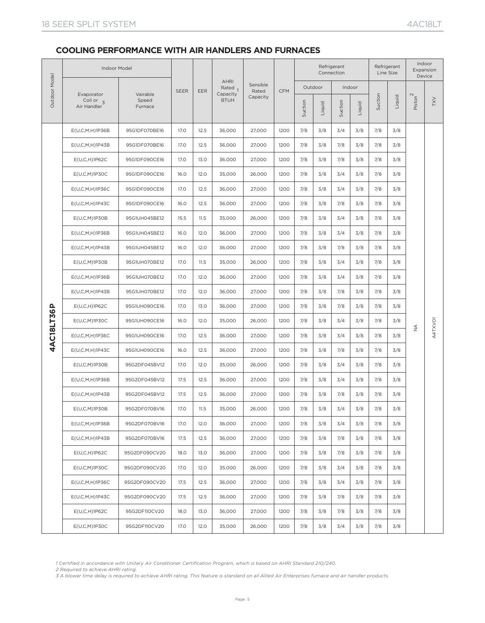|               | <b>Indoor Model</b>                      |                              |             |      |                         |                   |            |         |         | Refrigerant<br>Connection |        |         | Refrigerant<br>Line Size |                                  | Indoor<br>Expansion<br>Device |
|---------------|------------------------------------------|------------------------------|-------------|------|-------------------------|-------------------|------------|---------|---------|---------------------------|--------|---------|--------------------------|----------------------------------|-------------------------------|
|               |                                          |                              | <b>SEER</b> | EER  | <b>AHRI</b><br>Rated    | Sensible<br>Rated | <b>CFM</b> |         | Outdoor |                           | Indoor |         |                          |                                  |                               |
| Outdoor Model | Evaporator<br>Coil or $3$<br>Air Handler | Vairable<br>Speed<br>Furnace |             |      | Capacity<br><b>BTUH</b> | Capacity          |            | Suction | Liquid  | Suction                   | Liquid | Suction | Liquid                   | Piston <sup>2</sup>              | <b>TXV</b>                    |
|               | E(U,C,M,H)1P36B                          | 95G1DF070BE16                | 17.0        | 12.5 | 36,000                  | 27,000            | 1200       | 7/8     | 3/8     | 3/4                       | 3/8    | 7/8     | 3/8                      |                                  |                               |
|               | E(U,C,M,H)1P43B                          | 95G1DF070BE16                | 17.0        | 12.5 | 36,000                  | 27,000            | 1200       | 7/8     | 3/8     | 7/8                       | 3/8    | 7/8     | 3/8                      |                                  |                               |
|               | $E(U,C,H)$ 1P62C                         | 95G1DF090CE16                | 17.0        | 13.0 | 36,000                  | 27,000            | 1200       | 7/8     | 3/8     | 7/8                       | 3/8    | 7/8     | 3/8                      |                                  |                               |
|               | E(U,C,M)1P3OC                            | 95G1DF090CE16                | 16.0        | 12.0 | 35,000                  | 26,000            | 1200       | 7/8     | 3/8     | 3/4                       | 3/8    | 7/8     | 3/8                      |                                  |                               |
|               | $E(U, C, M, H)$ 1P36C                    | 95G1DF090CE16                | 17.0        | 12.5 | 36,000                  | 27,000            | 1200       | 7/8     | 3/8     | 3/4                       | 3/8    | 7/8     | 3/8                      |                                  |                               |
|               | $E(U, C, M, H)$ 1P43C                    | 95G1DF090CE16                | 16.0        | 12.5 | 36,000                  | 27,000            | 1200       | 7/8     | 3/8     | 7/8                       | 3/8    | 7/8     | 3/8                      |                                  |                               |
|               | $E(U,C,M)$ 1P30B                         | 95G1UH045BE12                | 15.5        | 11.5 | 35,000                  | 26,000            | 1200       | 7/8     | 3/8     | 3/4                       | 3/8    | 7/8     | 3/8                      |                                  |                               |
|               | E(U,C,M,H)1P36B                          | 95G1UH045BE12                | 16.0        | 12.0 | 36,000                  | 27,000            | 1200       | 7/8     | 3/8     | 3/4                       | 3/8    | 7/8     | 3/8                      |                                  |                               |
|               | E(U,C,M,H)1P43B                          | 95G1UH045BE12                | 16.0        | 12.0 | 36,000                  | 27,000            | 1200       | 7/8     | 3/8     | 7/8                       | 3/8    | 7/8     | 3/8                      |                                  |                               |
|               | $E(U, C, M)$ 1P30B                       | 95G1UH070BE12                | 17.0        | 11.5 | 35,000                  | 26,000            | 1200       | 7/8     | 3/8     | 3/4                       | 3/8    | 7/8     | 3/8                      |                                  |                               |
|               | E(U,C,M,H)1P36B                          | 95G1UH070BE12                | 17.0        | 12.0 | 36,000                  | 27,000            | 1200       | 7/8     | 3/8     | 3/4                       | 3/8    | 7/8     | 3/8                      |                                  |                               |
|               | E(U,C,M,H)1P43B                          | 95G1UH070BE12                | 17.0        | 12.0 | 36,000                  | 27,000            | 1200       | 7/8     | 3/8     | 7/8                       | 3/8    | 7/8     | 3/8                      |                                  |                               |
|               | E(U,C,H)1P62C                            | 95G1UH090CE16                | 17.0        | 13.0 | 36,000                  | 27,000            | 1200       | 7/8     | 3/8     | 7/8                       | 3/8    | 7/8     | 3/8                      |                                  |                               |
| 4AC18LT36P    | $E(U, C, M)$ 1P30C                       | 95G1UH090CE16                | 16.0        | 12.0 | 35,000                  | 26,000            | 1200       | 7/8     | 3/8     | 3/4                       | 3/8    | 7/8     | 3/8                      |                                  |                               |
|               | $E(U, C, M, H)$ 1P36C                    | 95G1UH090CE16                | 17.0        | 12.5 | 36,000                  | 27,000            | 1200       | 7/8     | 3/8     | 3/4                       | 3/8    | 7/8     | 3/8                      | $\stackrel{\triangleleft}{\geq}$ | A4TXVO1                       |
|               | E(U,C,M,H)1P43C                          | 95G1UH090CE16                | 16.0        | 12.5 | 36,000                  | 27,000            | 1200       | 7/8     | 3/8     | 7/8                       | 3/8    | 7/8     | 3/8                      |                                  |                               |
|               | $E(U,C,M)$ 1P30B                         | 95G2DF045BV12                | 17.0        | 12.0 | 35,000                  | 26,000            | 1200       | 7/8     | 3/8     | 3/4                       | 3/8    | 7/8     | 3/8                      |                                  |                               |
|               | E(U,C,M,H)1P36B                          | 95G2DF045BV12                | 17.5        | 12.5 | 36,000                  | 27,000            | 1200       | 7/8     | 3/8     | 3/4                       | 3/8    | 7/8     | 3/8                      |                                  |                               |
|               | E(U,C,M,H)1P43B                          | 95G2DF045BV12                | 17.5        | 12.5 | 36,000                  | 27,000            | 1200       | 7/8     | 3/8     | 7/8                       | 3/8    | 7/8     | 3/8                      |                                  |                               |
|               | E(U,C,M)1P30B                            | 95G2DF070BV16                | 17.0        | 11.5 | 35,000                  | 26,000            | 1200       | 7/8     | 3/8     | 3/4                       | 3/8    | 7/8     | 3/8                      |                                  |                               |
|               | E(U,C,M,H)1P36B                          | 95G2DF070BV16                | 17.0        | 12.0 | 36,000                  | 27,000            | 1200       | 7/8     | 3/8     | 3/4                       | 3/8    | 7/8     | 3/8                      |                                  |                               |
|               | E(U,C,M,H)1P43B                          | 95G2DF070BV16                | 17.5        | 12.5 | 36,000                  | 27,000            | 1200       | 7/8     | 3/8     | 7/8                       | 3/8    | 7/8     | 3/8                      |                                  |                               |
|               | E(U, C, H) 1P62C                         | 95G2DF090CV20                | 18.0        | 13.0 | 36,000                  | 27,000            | 1200       | 7/8     | 3/8     | 7/8                       | 3/8    | 7/8     | 3/8                      |                                  |                               |
|               | $E(U,C,M)$ 1P30C                         | 95G2DF090CV20                | 17.0        | 12.0 | 35,000                  | 26,000            | 1200       | 7/8     | 3/8     | 3/4                       | 3/8    | 7/8     | 3/8                      |                                  |                               |
|               | E(U,C,M,H)1P36C                          | 95G2DF090CV20                | 17.5        | 12.5 | 36,000                  | 27,000            | 1200       | 7/8     | 3/8     | 3/4                       | 3/8    | 7/8     | 3/8                      |                                  |                               |
|               | E(U,C,M,H)1P43C                          | 95G2DF090CV20                | 17.5        | 12.5 | 36,000                  | 27,000            | 1200       | 7/8     | 3/8     | 7/8                       | 3/8    | 7/8     | 3/8                      |                                  |                               |
|               | $E(U,C,H)$ 1P62C                         | 95G2DF110CV20                | 18.0        | 13.0 | 36,000                  | 27,000            | 1200       | 7/8     | 3/8     | 7/8                       | 3/8    | 7/8     | 3/8                      |                                  |                               |
|               | $E(U, C, M)$ 1P30C                       | 95G2DF110CV20                | 17.0        | 12.0 | 35,000                  | 26,000            | 1200       | 7/8     | 3/8     | 3/4                       | 3/8    | 7/8     | 3/8                      |                                  |                               |

*<sup>2</sup> Required to achieve AHRI rating. 3 A blower time delay is required to achieve AHRI rating. This feature is standard on all Allied Air Enterprises furnace and air handler products.*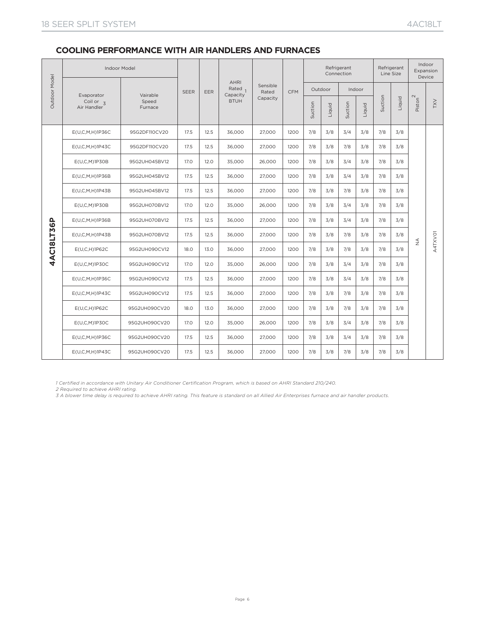| Outdoor Model | <b>Indoor Model</b>                                 |                              |             |      |                           |                   |            |         |         | Refrigerant<br>Connection |        |         | Refrigerant<br>Line Size |                                  | Indoor<br>Expansion<br>Device |
|---------------|-----------------------------------------------------|------------------------------|-------------|------|---------------------------|-------------------|------------|---------|---------|---------------------------|--------|---------|--------------------------|----------------------------------|-------------------------------|
|               |                                                     |                              | <b>SEER</b> | EER  | <b>AHRI</b><br>Rated $_1$ | Sensible<br>Rated | <b>CFM</b> |         | Outdoor |                           | Indoor |         |                          |                                  |                               |
|               | Evaporator<br>Coil or $\overline{3}$<br>Air Handler | Vairable<br>Speed<br>Furnace |             |      | Capacity<br><b>BTUH</b>   | Capacity          |            | Suction | Liquid  | Suction                   | Liquid | Suction | Liquid                   | Piston <sup>2</sup>              | <b>XXL</b>                    |
|               | E(U, C, M, H) 1 P 36C                               | 95G2DF110CV20                | 17.5        | 12.5 | 36,000                    | 27,000            | 1200       | 7/8     | 3/8     | 3/4                       | 3/8    | 7/8     | 3/8                      |                                  |                               |
|               | $E(U, C, M, H)$ 1P43C                               | 95G2DF110CV20                | 17.5        | 12.5 | 36,000                    | 27,000            | 1200       | 7/8     | 3/8     | 7/8                       | 3/8    | 7/8     | 3/8                      |                                  |                               |
|               | $E(U, C, M)$ 1P30B                                  | 95G2UH045BV12                | 17.0        | 12.0 | 35,000                    | 26,000            | 1200       | 7/8     | 3/8     | 3/4                       | 3/8    | 7/8     | 3/8                      |                                  |                               |
|               | E(U,C,M,H)1P36B                                     | 95G2UH045BV12                | 17.5        | 12.5 | 36,000                    | 27,000            | 1200       | 7/8     | 3/8     | 3/4                       | 3/8    | 7/8     | 3/8                      |                                  |                               |
|               | $E(U,C,M,H)$ 1P43B                                  | 95G2UH045BV12                | 17.5        | 12.5 | 36,000                    | 27,000            | 1200       | 7/8     | 3/8     | 7/8                       | 3/8    | 7/8     | 3/8                      |                                  |                               |
|               | $E(U, C, M)$ 1P30B                                  | 95G2UH070BV12                | 17.0        | 12.0 | 35,000                    | 26,000            | 1200       | 7/8     | 3/8     | 3/4                       | 3/8    | 7/8     | 3/8                      |                                  |                               |
|               | E(U,C,M,H)1P36B                                     | 95G2UH070BV12                | 17.5        | 12.5 | 36,000                    | 27,000            | 1200       | 7/8     | 3/8     | 3/4                       | 3/8    | 7/8     | 3/8                      |                                  |                               |
|               | E(U,C,M,H)1P43B                                     | 95G2UH070BV12                | 17.5        | 12.5 | 36,000                    | 27,000            | 1200       | 7/8     | 3/8     | 7/8                       | 3/8    | 7/8     | 3/8                      |                                  |                               |
| 4AC18LT36P    | E(U, C, H) 1P62C                                    | 95G2UH090CV12                | 18.0        | 13.0 | 36,000                    | 27,000            | 1200       | 7/8     | 3/8     | 7/8                       | 3/8    | 7/8     | 3/8                      | $\stackrel{\triangleleft}{\geq}$ | A4TXVO1                       |
|               | E(U,C,M)1P30C                                       | 95G2UH090CV12                | 17.0        | 12.0 | 35,000                    | 26,000            | 1200       | 7/8     | 3/8     | 3/4                       | 3/8    | 7/8     | 3/8                      |                                  |                               |
|               | E(U, C, M, H) 1 P 36C                               | 95G2UH090CV12                | 17.5        | 12.5 | 36,000                    | 27,000            | 1200       | 7/8     | 3/8     | 3/4                       | 3/8    | 7/8     | 3/8                      |                                  |                               |
|               | E(U,C,M,H)1P43C                                     | 95G2UH090CV12                | 17.5        | 12.5 | 36,000                    | 27,000            | 1200       | 7/8     | 3/8     | 7/8                       | 3/8    | 7/8     | 3/8                      |                                  |                               |
|               | E(U, C, H) 1P62C                                    | 95G2UH090CV20                | 18.0        | 13.0 | 36,000                    | 27,000            | 1200       | 7/8     | 3/8     | 7/8                       | 3/8    | 7/8     | 3/8                      |                                  |                               |
|               | E(U,C,M)1P30C                                       | 95G2UH090CV20                | 17.0        | 12.0 | 35,000                    | 26,000            | 1200       | 7/8     | 3/8     | 3/4                       | 3/8    | 7/8     | 3/8                      |                                  |                               |
|               | E(U,C,M,H)1P36C                                     | 95G2UH090CV20                | 17.5        | 12.5 | 36,000                    | 27,000            | 1200       | 7/8     | 3/8     | 3/4                       | 3/8    | 7/8     | 3/8                      |                                  |                               |
|               | E(U,C,M,H)1P43C                                     | 95G2UH090CV20                | 17.5        | 12.5 | 36,000                    | 27.000            | 1200       | 7/8     | 3/8     | 7/8                       | 3/8    | 7/8     | 3/8                      |                                  |                               |

*1 Certified in accordance with Unitary Air Conditioner Certification Program, which is based on AHRI Standard 210/240.*

*2 Required to achieve AHRI rating.*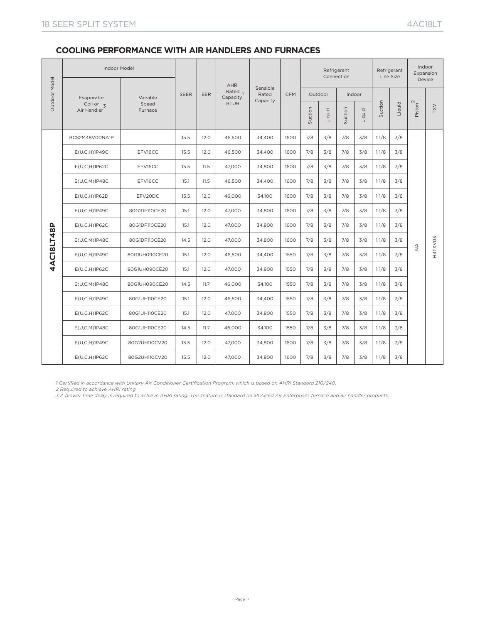|               | Indoor Model                             |                              |             |            |                                   |                   |            |         |         | Refrigerant<br>Connection |        | Line Size | Refrigerant |                               | Indoor<br>Expansion |
|---------------|------------------------------------------|------------------------------|-------------|------------|-----------------------------------|-------------------|------------|---------|---------|---------------------------|--------|-----------|-------------|-------------------------------|---------------------|
| Outdoor Model |                                          |                              | <b>SEER</b> | <b>EER</b> | <b>AHRI</b><br>Rated <sub>1</sub> | Sensible<br>Rated | <b>CFM</b> |         | Outdoor |                           | Indoor |           |             |                               | Device              |
|               | Evaporator<br>Coil or $3$<br>Air Handler | Vairable<br>Speed<br>Furnace |             |            | Capacity<br><b>BTUH</b>           | Capacity          |            |         |         |                           |        | Suction   | Liquid      | Piston <sup>2</sup>           | <b>IXV</b>          |
|               |                                          |                              |             |            |                                   |                   |            | Suction | Liquid  | Suction                   | Liquid |           |             |                               |                     |
|               | BCS2M48V00NA1P                           |                              | 15.5        | 12.0       | 46,500                            | 34,400            | 1600       | 7/8     | 3/8     | 7/8                       | 3/8    | 11/8      | 3/8         |                               |                     |
|               | E(U,C,H)1P49C                            | EFV16CC                      | 15.5        | 12.0       | 46,500                            | 34,400            | 1600       | 7/8     | 3/8     | 7/8                       | 3/8    | 11/8      | 3/8         |                               |                     |
|               | $E(U,C,H)$ 1P62C                         | EFV16CC                      | 15.5        | 11.5       | 47,000                            | 34,800            | 1600       | 7/8     | 3/8     | 7/8                       | 3/8    | 11/8      | 3/8         |                               |                     |
|               | E(U,C,M)1P48C                            | EFV16CC                      | 15.1        | 11.5       | 46,500                            | 34,400            | 1600       | 7/8     | 3/8     | 7/8                       | 3/8    | 11/8      | 3/8         |                               |                     |
|               | E(U,C,H)1P62D                            | EFV20DC                      | 15.5        | 12.0       | 46,000                            | 34,100            | 1600       | 7/8     | 3/8     | 7/8                       | 3/8    | 11/8      | 3/8         |                               |                     |
|               | $E(U, C, H)$ 1P49C                       | 80G1DF110CE20                | 15.1        | 12.0       | 47,000                            | 34,800            | 1600       | 7/8     | 3/8     | 7/8                       | 3/8    | 11/8      | 3/8         |                               |                     |
|               | E(U,C,H)1P62C                            | 80G1DF110CE20                | 15.1        | 12.0       | 47,000                            | 34,800            | 1600       | 7/8     | 3/8     | 7/8                       | 3/8    | 11/8      | 3/8         |                               |                     |
| 4AC18LT48P    | E(U,C,M)1P48C                            | 80G1DF110CE20                | 14.5        | 12.0       | 47,000                            | 34,800            | 1600       | 7/8     | 3/8     | 7/8                       | 3/8    | 11/8      | 3/8         | $\mathrel{\mathop{\not\leq}}$ | H4TXVO3             |
|               | $E(U,C,H)$ 1P49C                         | 80G1UH090CE20                | 15.1        | 12.0       | 46,500                            | 34,400            | 1550       | 7/8     | 3/8     | 7/8                       | 3/8    | 11/8      | 3/8         |                               |                     |
|               | E(U,C,H)1P62C                            | 80G1UH090CE20                | 15.1        | 12.0       | 47,000                            | 34,800            | 1550       | 7/8     | 3/8     | 7/8                       | 3/8    | 11/8      | 3/8         |                               |                     |
|               | E(U,C,M)1P48C                            | 80G1UH090CE20                | 14.5        | 11.7       | 46,000                            | 34,100            | 1550       | 7/8     | 3/8     | 7/8                       | 3/8    | 11/8      | 3/8         |                               |                     |
|               | $E(U,C,H)$ 1P49C                         | 80G1UH110CE20                | 15.1        | 12.0       | 46,500                            | 34,400            | 1550       | 7/8     | 3/8     | 7/8                       | 3/8    | 11/8      | 3/8         |                               |                     |
|               | E(U,C,H)1P62C                            | 80G1UH110CE20                | 15.1        | 12.0       | 47,000                            | 34,800            | 1550       | 7/8     | 3/8     | 7/8                       | 3/8    | 11/8      | 3/8         |                               |                     |
|               | E(U,C,M)1P48C                            | 80G1UH110CE20                | 14.5        | 11.7       | 46,000                            | 34,100            | 1550       | 7/8     | 3/8     | 7/8                       | 3/8    | 11/8      | 3/8         |                               |                     |
|               | E(U,C,H)1P49C                            | 80G2UH110CV20                | 15.5        | 12.0       | 47,000                            | 34,800            | 1600       | 7/8     | 3/8     | 7/8                       | 3/8    | 11/8      | 3/8         |                               |                     |
|               | $E(U,C,H)$ 1P62C                         | 80G2UH110CV20                | 15.5        | 12.0       | 47,000                            | 34,800            | 1600       | 7/8     | 3/8     | 7/8                       | 3/8    | 11/8      | 3/8         |                               |                     |

*1 Certified in accordance with Unitary Air Conditioner Certification Program, which is based on AHRI Standard 210/240.*

*2 Required to achieve AHRI rating.*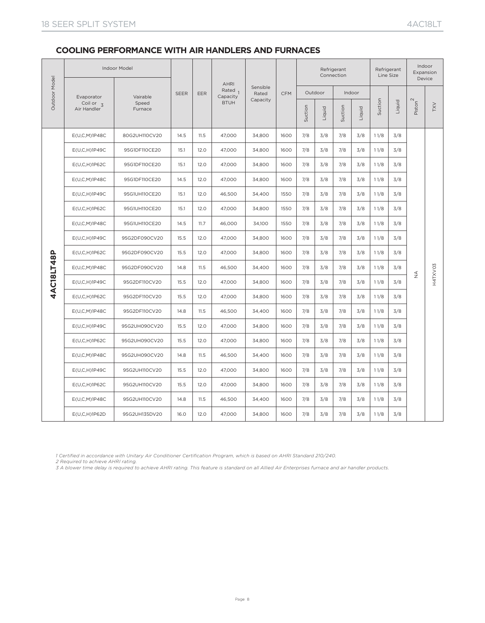|               |                                       | Indoor Model     |             |            |                                    |                   |            |         |         | Refrigerant<br>Connection |        | Refrigerant<br>Line Size |        | Indoor<br>Expansion<br>Device |            |
|---------------|---------------------------------------|------------------|-------------|------------|------------------------------------|-------------------|------------|---------|---------|---------------------------|--------|--------------------------|--------|-------------------------------|------------|
| Outdoor Model | Evaporator                            | Vairable         | <b>SEER</b> | <b>EER</b> | <b>AHRI</b><br>Rated 1<br>Capacity | Sensible<br>Rated | <b>CFM</b> |         | Outdoor |                           | Indoor |                          |        |                               |            |
|               | Coil or $\overline{3}$<br>Air Handler | Speed<br>Furnace |             |            | <b>BTUH</b>                        | Capacity          |            | Suction | Liquid  | Suction                   | Liquid | Suction                  | Liquid | Piston <sup>2</sup>           | <b>XXL</b> |
|               | E(U,C,M)1P48C                         | 80G2UH110CV20    | 14.5        | 11.5       | 47,000                             | 34,800            | 1600       | 7/8     | 3/8     | 7/8                       | 3/8    | 11/8                     | 3/8    |                               |            |
|               | $E(U,C,H)$ 1P49C                      | 95G1DF110CE20    | 15.1        | 12.0       | 47,000                             | 34,800            | 1600       | 7/8     | 3/8     | 7/8                       | 3/8    | 11/8                     | 3/8    |                               |            |
|               | $E(U,C,H)$ 1P62C                      | 95G1DF110CE20    | 15.1        | 12.0       | 47,000                             | 34,800            | 1600       | 7/8     | 3/8     | 7/8                       | 3/8    | 11/8                     | 3/8    |                               |            |
|               | E(U,C,M)1P48C                         | 95G1DF110CE20    | 14.5        | 12.0       | 47,000                             | 34,800            | 1600       | 7/8     | 3/8     | 7/8                       | 3/8    | 11/8                     | 3/8    |                               |            |
|               | $E(U,C,H)$ 1P49C                      | 95G1UH110CE20    | 15.1        | 12.0       | 46,500                             | 34,400            | 1550       | 7/8     | 3/8     | 7/8                       | 3/8    | 11/8                     | 3/8    |                               |            |
|               | $E(U,C,H)$ 1P62C                      | 95G1UH110CE20    | 15.1        | 12.0       | 47,000                             | 34,800            | 1550       | 7/8     | 3/8     | 7/8                       | 3/8    | 11/8                     | 3/8    |                               |            |
|               | E(U,C,M)1P48C                         | 95G1UH110CE20    | 14.5        | 11.7       | 46,000                             | 34,100            | 1550       | 7/8     | 3/8     | 7/8                       | 3/8    | 11/8                     | 3/8    |                               |            |
|               | $E(U,C,H)$ 1P49C                      | 95G2DF090CV20    | 15.5        | 12.0       | 47,000                             | 34,800            | 1600       | 7/8     | 3/8     | 7/8                       | 3/8    | 11/8                     | 3/8    |                               |            |
|               | $E(U,C,H)$ 1P62C                      | 95G2DF090CV20    | 15.5        | 12.0       | 47,000                             | 34,800            | 1600       | 7/8     | 3/8     | 7/8                       | 3/8    | 11/8                     | 3/8    |                               |            |
| 4AC18LT48P    | E(U,C,M)1P48C                         | 95G2DF090CV20    | 14.8        | 11.5       | 46,500                             | 34,400            | 1600       | 7/8     | 3/8     | 7/8                       | 3/8    | 11/8                     | 3/8    | $\stackrel{\triangle}{\geq}$  | H4TXV03    |
|               | $E(U,C,H)$ 1P49C                      | 95G2DF110CV20    | 15.5        | 12.0       | 47,000                             | 34,800            | 1600       | 7/8     | 3/8     | 7/8                       | 3/8    | 11/8                     | 3/8    |                               |            |
|               | $E(U,C,H)$ 1P62C                      | 95G2DF110CV20    | 15.5        | 12.0       | 47,000                             | 34,800            | 1600       | 7/8     | 3/8     | 7/8                       | 3/8    | 11/8                     | 3/8    |                               |            |
|               | E(U,C,M)1P48C                         | 95G2DF110CV20    | 14.8        | 11.5       | 46,500                             | 34,400            | 1600       | 7/8     | 3/8     | 7/8                       | 3/8    | 11/8                     | 3/8    |                               |            |
|               | E(U,C,H)1P49C                         | 95G2UH090CV20    | 15.5        | 12.0       | 47,000                             | 34,800            | 1600       | 7/8     | 3/8     | 7/8                       | 3/8    | 11/8                     | 3/8    |                               |            |
|               | E(U, C, H) 1P62C                      | 95G2UH090CV20    | 15.5        | 12.0       | 47,000                             | 34,800            | 1600       | 7/8     | 3/8     | 7/8                       | 3/8    | 11/8                     | 3/8    |                               |            |
|               | E(U,C,M)1P48C                         | 95G2UH090CV20    | 14.8        | 11.5       | 46,500                             | 34,400            | 1600       | 7/8     | 3/8     | 7/8                       | 3/8    | 11/8                     | 3/8    |                               |            |
|               | E(U,C,H)1P49C                         | 95G2UH110CV20    | 15.5        | 12.0       | 47,000                             | 34,800            | 1600       | 7/8     | 3/8     | 7/8                       | 3/8    | 11/8                     | 3/8    |                               |            |
|               | E(U, C, H) 1P62C                      | 95G2UH110CV20    | 15.5        | 12.0       | 47,000                             | 34,800            | 1600       | 7/8     | 3/8     | 7/8                       | 3/8    | 11/8                     | 3/8    |                               |            |
|               | E(U,C,M)1P48C                         | 95G2UH110CV20    | 14.8        | 11.5       | 46,500                             | 34,400            | 1600       | 7/8     | 3/8     | 7/8                       | 3/8    | 11/8                     | 3/8    |                               |            |
|               | E(U,C,H)1P62D                         | 95G2UH135DV20    | 16.0        | 12.0       | 47,000                             | 34,800            | 1600       | 7/8     | 3/8     | 7/8                       | 3/8    | 11/8                     | 3/8    |                               |            |

*1 Certified in accordance with Unitary Air Conditioner Certification Program, which is based on AHRI Standard 210/240.*

*2 Required to achieve AHRI rating.*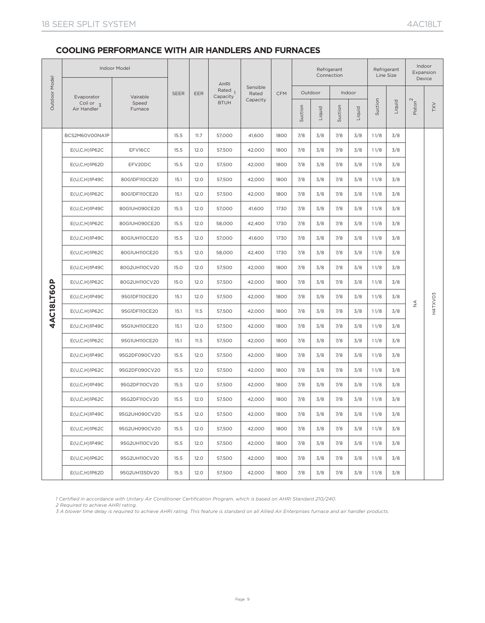|               |                                          | Indoor Model     |             |      | <b>AHRI</b>            |                   |            |         |         | Refrigerant<br>Connection |        |         | Refrigerant<br>Line Size |                       | Indoor<br>Expansion<br>Device |
|---------------|------------------------------------------|------------------|-------------|------|------------------------|-------------------|------------|---------|---------|---------------------------|--------|---------|--------------------------|-----------------------|-------------------------------|
| Outdoor Model |                                          | Vairable         | <b>SEER</b> | EER  | Rated $_1$<br>Capacity | Sensible<br>Rated | <b>CFM</b> |         | Outdoor |                           | Indoor |         |                          |                       |                               |
|               | Evaporator<br>Coil or $3$<br>Air Handler | Speed<br>Furnace |             |      | <b>BTUH</b>            | Capacity          |            | Suction | Liquid  | Suction                   | Liquid | Suction | Liquid                   | $Piston$ <sup>2</sup> | TXV                           |
|               | BCS2M60V00NA1P                           |                  | 15.5        | 11.7 | 57,000                 | 41,600            | 1800       | 7/8     | 3/8     | 7/8                       | 3/8    | 11/8    | 3/8                      |                       |                               |
|               | E(U,C,H)1P62C                            | EFV16CC          | 15.5        | 12.0 | 57,500                 | 42,000            | 1800       | 7/8     | 3/8     | 7/8                       | 3/8    | 11/8    | 3/8                      |                       |                               |
|               | E(U,C,H)1P62D                            | EFV20DC          | 15.5        | 12.0 | 57,500                 | 42,000            | 1800       | 7/8     | 3/8     | 7/8                       | 3/8    | 11/8    | 3/8                      |                       |                               |
|               | $E(U,C,H)$ 1P49C                         | 80G1DF110CE20    | 15.1        | 12.0 | 57,500                 | 42,000            | 1800       | 7/8     | 3/8     | 7/8                       | 3/8    | 11/8    | 3/8                      |                       |                               |
|               | E(U,C,H)1P62C                            | 80G1DF110CE20    | 15.1        | 12.0 | 57,500                 | 42,000            | 1800       | 7/8     | 3/8     | 7/8                       | 3/8    | 11/8    | 3/8                      |                       |                               |
|               | $E(U,C,H)$ 1P49C                         | 80G1UH090CE20    | 15.5        | 12.0 | 57,000                 | 41,600            | 1730       | 7/8     | 3/8     | 7/8                       | 3/8    | 11/8    | 3/8                      |                       |                               |
|               | E(U,C,H)1P62C                            | 80G1UH090CE20    | 15.5        | 12.0 | 58,000                 | 42,400            | 1730       | 7/8     | 3/8     | 7/8                       | 3/8    | 11/8    | 3/8                      |                       |                               |
|               | $E(U,C,H)$ 1P49C                         | 80G1UH110CE20    | 15.5        | 12.0 | 57,000                 | 41,600            | 1730       | 7/8     | 3/8     | 7/8                       | 3/8    | 11/8    | 3/8                      |                       |                               |
|               | E(U,C,H)1P62C                            | 80G1UH110CE20    | 15.5        | 12.0 | 58,000                 | 42,400            | 1730       | 7/8     | 3/8     | 7/8                       | 3/8    | 11/8    | 3/8                      |                       |                               |
|               | $E(U,C,H)$ 1P49C                         | 80G2UH110CV20    | 15.0        | 12.0 | 57,500                 | 42,000            | 1800       | 7/8     | 3/8     | 7/8                       | 3/8    | 11/8    | 3/8                      |                       |                               |
|               | E(U,C,H)1P62C                            | 80G2UH110CV20    | 15.0        | 12.0 | 57,500                 | 42,000            | 1800       | 7/8     | 3/8     | 7/8                       | 3/8    | 11/8    | 3/8                      |                       |                               |
|               | $E(U,C,H)$ 1P49C                         | 95G1DF110CE20    | 15.1        | 12.0 | 57,500                 | 42,000            | 1800       | 7/8     | 3/8     | 7/8                       | 3/8    | 11/8    | 3/8                      |                       |                               |
| 4AC18LT6OP    | $E(U,C,H)$ 1P62C                         | 95G1DF110CE20    | 15.1        | 11.5 | 57,500                 | 42,000            | 1800       | 7/8     | 3/8     | 7/8                       | 3/8    | 11/8    | 3/8                      | $\frac{4}{2}$         | H4TXVO3                       |
|               | $E(U, C, H)$ 1P49C                       | 95G1UH110CE20    | 15.1        | 12.0 | 57,500                 | 42,000            | 1800       | 7/8     | 3/8     | 7/8                       | 3/8    | 11/8    | 3/8                      |                       |                               |
|               | E(U,C,H)1P62C                            | 95G1UH110CE20    | 15.1        | 11.5 | 57,500                 | 42,000            | 1800       | 7/8     | 3/8     | 7/8                       | 3/8    | 11/8    | 3/8                      |                       |                               |
|               | $E(U,C,H)$ 1P49C                         | 95G2DF090CV20    | 15.5        | 12.0 | 57,500                 | 42,000            | 1800       | 7/8     | 3/8     | 7/8                       | 3/8    | 11/8    | 3/8                      |                       |                               |
|               | E(U,C,H)1P62C                            | 95G2DF090CV20    | 15.5        | 12.0 | 57,500                 | 42,000            | 1800       | 7/8     | 3/8     | 7/8                       | 3/8    | 11/8    | 3/8                      |                       |                               |
|               | $E(U, C, H)$ 1P49C                       | 95G2DF110CV20    | 15.5        | 12.0 | 57,500                 | 42,000            | 1800       | 7/8     | 3/8     | 7/8                       | 3/8    | 11/8    | 3/8                      |                       |                               |
|               | $E(U,C,H)$ 1P62C                         | 95G2DF110CV20    | 15.5        | 12.0 | 57.500                 | 42,000            | 1800       | 7/8     | 3/8     | 7/8                       | 3/8    | 11/8    | 3/8                      |                       |                               |
|               | $E(U, C, H)$ 1P49C                       | 95G2UH090CV20    | 15.5        | 12.0 | 57,500                 | 42,000            | 1800       | 7/8     | 3/8     | 7/8                       | 3/8    | 11/8    | 3/8                      |                       |                               |
|               | E(U,C,H)1P62C                            | 95G2UH090CV20    | 15.5        | 12.0 | 57,500                 | 42,000            | 1800       | 7/8     | 3/8     | 7/8                       | 3/8    | 11/8    | 3/8                      |                       |                               |
|               | E(U,C,H)1P49C                            | 95G2UH110CV20    | 15.5        | 12.0 | 57,500                 | 42,000            | 1800       | 7/8     | 3/8     | 7/8                       | 3/8    | 11/8    | 3/8                      |                       |                               |
|               | $E(U,C,H)$ 1P62C                         | 95G2UH110CV20    | 15.5        | 12.0 | 57,500                 | 42,000            | 1800       | 7/8     | 3/8     | 7/8                       | 3/8    | 11/8    | 3/8                      |                       |                               |
|               | E(U,C,H)1P62D                            | 95G2UH135DV20    | 15.5        | 12.0 | 57,500                 | 42,000            | 1800       | 7/8     | 3/8     | 7/8                       | 3/8    | 11/8    | 3/8                      |                       |                               |

*1 Certified in accordance with Unitary Air Conditioner Certification Program, which is based on AHRI Standard 210/240.*

*2 Required to achieve AHRI rating.*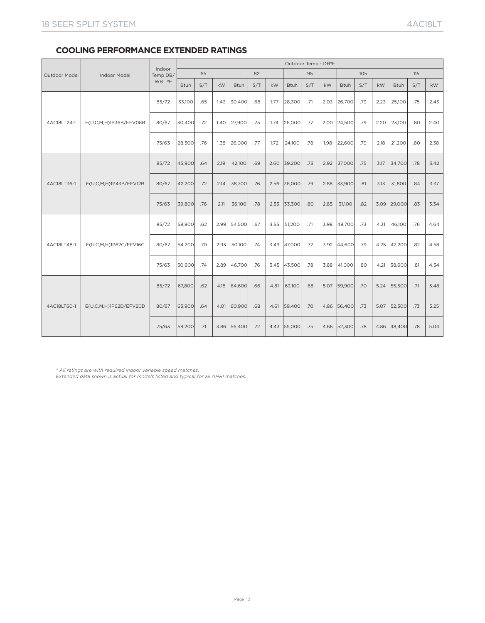# **COOLING PERFORMANCE EXTENDED RATINGS**

|                      |                        |                    |             |     |      |             |     |      |             | Outdoor Temp - DB <sup>2</sup> F |      |             |     |      |             |     |      |
|----------------------|------------------------|--------------------|-------------|-----|------|-------------|-----|------|-------------|----------------------------------|------|-------------|-----|------|-------------|-----|------|
| <b>Outdoor Model</b> | <b>Indoor Model</b>    | Indoor<br>Temp DB/ |             | 65  |      |             | 82  |      |             | 95                               |      |             | 105 |      |             | 115 |      |
|                      |                        | WB ºF              | <b>Btuh</b> | S/T | kW   | <b>Btuh</b> | S/T | kW   | <b>Btuh</b> | S/T                              | kW   | <b>Btuh</b> | S/T | kW   | <b>Btuh</b> | S/T | kW   |
|                      |                        | 85/72              | 33,100      | .65 | 1.43 | 30,400      | .68 | 1.77 | 28,300      | .71                              | 2.03 | 26,700      | .73 | 2.23 | 25,100      | .75 | 2.43 |
| 4AC18LT24-1          | E(U,C,M,H)1P36B/EFV08B | 80/67              | 30,400      | .72 | 1.40 | 27,900      | .75 | 1.74 | 26,000      | .77                              | 2.00 | 24,500      | .79 | 2.20 | 23,100      | .80 | 2.40 |
|                      |                        | 75/63              | 28.500      | .76 | 1.38 | 26,000      | .77 | 1.72 | 24,100      | .78                              | 1.98 | 22,600      | .79 | 2.18 | 21,200      | .80 | 2.38 |
| 4AC18LT36-1          |                        | 85/72              | 45,900      | .64 | 2.19 | 42,100      | .69 | 2.60 | 39,200      | .73                              | 2.92 | 37,000      | .75 | 3.17 | 34,700      | .78 | 3.42 |
|                      | E(U,C,M,H)1P43B/EFV12B | 80/67              | 42,200      | .72 | 2.14 | 38,700      | .76 | 2.56 | 36,000      | .79                              | 2.88 | 33,900      | .81 | 3.13 | 31,800      | .84 | 3.37 |
|                      |                        | 75/63              | 39,800      | .76 | 2.11 | 36,100      | .78 | 2.53 | 33,300      | .80                              | 2.85 | 31,100      | .82 | 3.09 | 29,000      | .83 | 3.34 |
|                      |                        | 85/72              | 58,800      | .62 | 2.99 | 54,500      | .67 | 3.55 | 51,200      | .71                              | 3.98 | 48,700      | .73 | 4.31 | 46,100      | .76 | 4.64 |
| 4AC18LT48-1          | E(U,C,M,H)1P62C/EFV16C | 80/67              | 54,200      | .70 | 2.93 | 50,100      | .74 | 3.49 | 47,000      | .77                              | 3.92 | 44,600      | .79 | 4.25 | 42,200      | .82 | 4.58 |
|                      |                        | 75/63              | 50.900      | .74 | 2.89 | 46,700      | .76 | 3.45 | 43,500      | .78                              | 3.88 | 41.000      | .80 | 4.21 | 38,600      | .81 | 4.54 |
| 4AC18LT60-1          |                        | 85/72              | 67,800      | .62 | 4.18 | 64,600      | .66 | 4.81 | 63,100      | .68                              | 5.07 | 59,900      | .70 | 5.24 | 55,500      | .71 | 5.48 |
|                      | E(U,C,M,H)1P62D/EFV20D | 80/67              | 63,900      | .64 | 4.01 | 60,900      | .68 | 4.61 | 59,400      | .70                              | 4.86 | 56,400      | .73 | 5.07 | 52,300      | .73 | 5.25 |
|                      |                        | 75/63              | 59,200      | .71 | 3.86 | 56,400      | .72 | 4.43 | 55,000      | .75                              | 4.66 | 52,300      | .78 | 4.86 | 48,400      | .78 | 5.04 |

*\* All ratings are with required indoor variable speed matches.*

*Extended data shown is actual for models listed and typical for all AHRI matches.*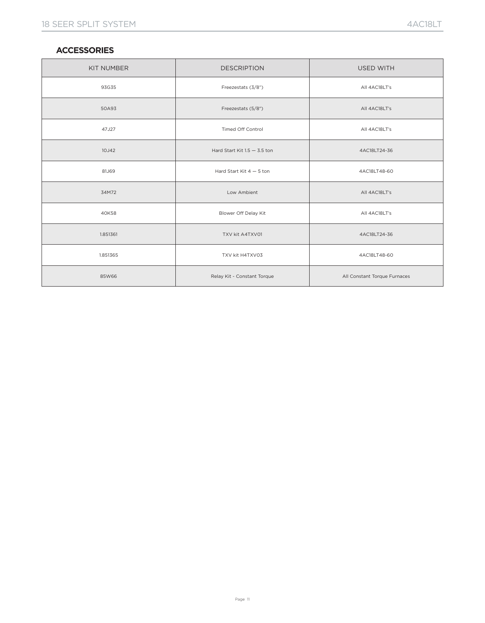### **ACCESSORIES**

| <b>KIT NUMBER</b> | <b>DESCRIPTION</b>             | <b>USED WITH</b>             |
|-------------------|--------------------------------|------------------------------|
| 93G35             | Freezestats (3/8")             | All 4AC18LT's                |
| 50A93             | Freezestats (5/8")             | All 4AC18LT's                |
| 47J27             | Timed Off Control              | All 4AC18LT's                |
| 10J42             | Hard Start Kit $1.5 - 3.5$ ton | 4AC18LT24-36                 |
| 81J69             | Hard Start Kit $4-5$ ton       | 4AC18LT48-60                 |
| 34M72             | Low Ambient                    | All 4AC18LT's                |
| 40K58             | Blower Off Delay Kit           | All 4AC18LT's                |
| 1.851361          | TXV kit A4TXV01                | 4AC18LT24-36                 |
| 1.851365          | TXV kit H4TXV03                | 4AC18LT48-60                 |
| 85W66             | Relay Kit - Constant Torque    | All Constant Torque Furnaces |